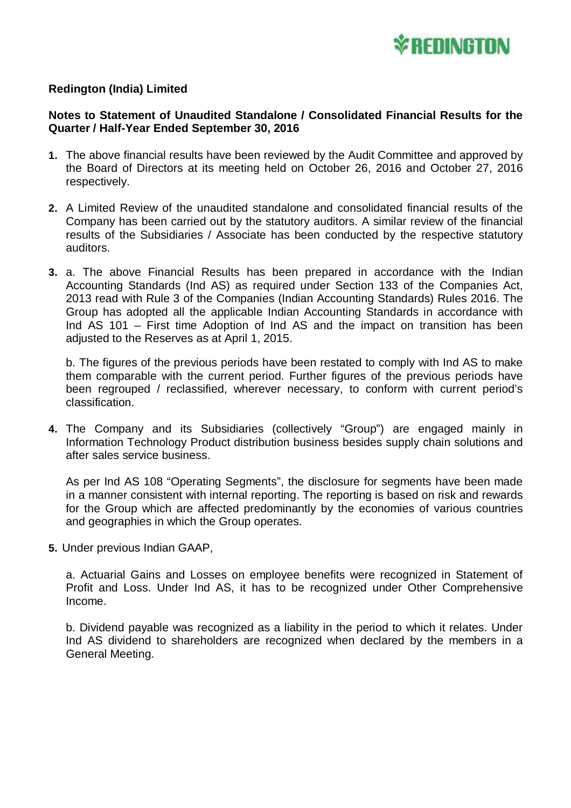

### **Redington (India) Limited**

### **Notes to Statement of Unaudited Standalone / Consolidated Financial Results for the Quarter / Half-Year Ended September 30, 2016**

- **1.** The above financial results have been reviewed by the Audit Committee and approved by the Board of Directors at its meeting held on October 26, 2016 and October 27, 2016 respectively.
- **2.** A Limited Review of the unaudited standalone and consolidated financial results of the Company has been carried out by the statutory auditors. A similar review of the financial results of the Subsidiaries / Associate has been conducted by the respective statutory auditors.
- **3.** a. The above Financial Results has been prepared in accordance with the Indian Accounting Standards (Ind AS) as required under Section 133 of the Companies Act, 2013 read with Rule 3 of the Companies (Indian Accounting Standards) Rules 2016. The Group has adopted all the applicable Indian Accounting Standards in accordance with Ind AS 101 – First time Adoption of Ind AS and the impact on transition has been adjusted to the Reserves as at April 1, 2015.

b. The figures of the previous periods have been restated to comply with Ind AS to make them comparable with the current period. Further figures of the previous periods have been regrouped / reclassified, wherever necessary, to conform with current period's classification.

**4.** The Company and its Subsidiaries (collectively "Group") are engaged mainly in Information Technology Product distribution business besides supply chain solutions and after sales service business.

As per Ind AS 108 "Operating Segments", the disclosure for segments have been made in a manner consistent with internal reporting. The reporting is based on risk and rewards for the Group which are affected predominantly by the economies of various countries and geographies in which the Group operates.

**5.** Under previous Indian GAAP,

a. Actuarial Gains and Losses on employee benefits were recognized in Statement of Profit and Loss. Under Ind AS, it has to be recognized under Other Comprehensive Income.

b. Dividend payable was recognized as a liability in the period to which it relates. Under Ind AS dividend to shareholders are recognized when declared by the members in a General Meeting.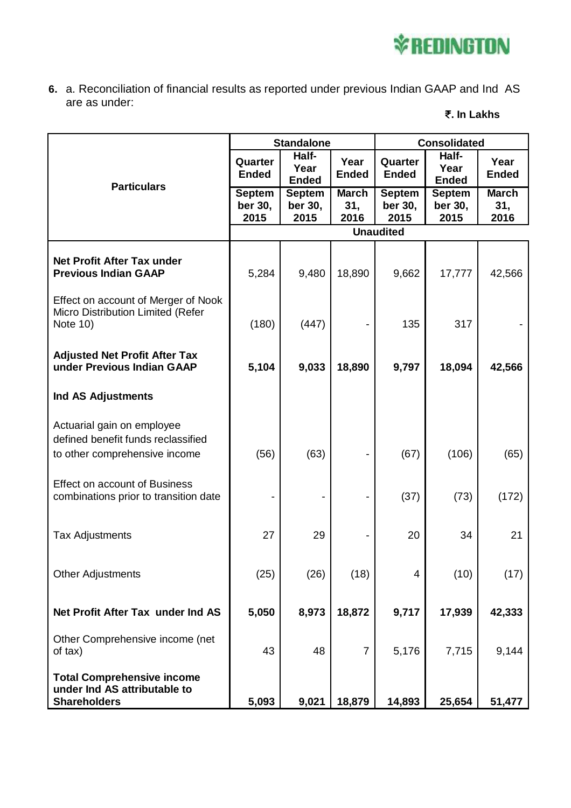# **V**REDINGTON

**6.** a. Reconciliation of financial results as reported under previous Indian GAAP and Ind AS are as under:

## **. In Lakhs**

|                                                                                                   | <b>Standalone</b>                |                                  |                             | <b>Consolidated</b>              |                                  |                             |
|---------------------------------------------------------------------------------------------------|----------------------------------|----------------------------------|-----------------------------|----------------------------------|----------------------------------|-----------------------------|
| <b>Particulars</b>                                                                                | Quarter<br><b>Ended</b>          | Half-<br>Year<br><b>Ended</b>    | Year<br><b>Ended</b>        | Quarter<br><b>Ended</b>          | Half-<br>Year<br><b>Ended</b>    | Year<br><b>Ended</b>        |
|                                                                                                   | <b>Septem</b><br>ber 30,<br>2015 | <b>Septem</b><br>ber 30,<br>2015 | <b>March</b><br>31,<br>2016 | <b>Septem</b><br>ber 30,<br>2015 | <b>Septem</b><br>ber 30,<br>2015 | <b>March</b><br>31,<br>2016 |
|                                                                                                   | <b>Unaudited</b>                 |                                  |                             |                                  |                                  |                             |
| <b>Net Profit After Tax under</b><br><b>Previous Indian GAAP</b>                                  | 5,284                            | 9,480                            | 18,890                      | 9,662                            | 17,777                           | 42,566                      |
| Effect on account of Merger of Nook<br>Micro Distribution Limited (Refer<br>Note 10)              | (180)                            | (447)                            |                             | 135                              | 317                              |                             |
| <b>Adjusted Net Profit After Tax</b><br>under Previous Indian GAAP                                | 5,104                            | 9,033                            | 18,890                      | 9,797                            | 18,094                           | 42,566                      |
| Ind AS Adjustments                                                                                |                                  |                                  |                             |                                  |                                  |                             |
| Actuarial gain on employee<br>defined benefit funds reclassified<br>to other comprehensive income | (56)                             | (63)                             |                             | (67)                             | (106)                            | (65)                        |
| <b>Effect on account of Business</b><br>combinations prior to transition date                     |                                  |                                  |                             | (37)                             | (73)                             | (172)                       |
| <b>Tax Adjustments</b>                                                                            | 27                               | 29                               |                             | 20                               | 34                               | 21                          |
| <b>Other Adjustments</b>                                                                          | (25)                             | (26)                             | (18)                        | 4                                | (10)                             | (17)                        |
| Net Profit After Tax under Ind AS                                                                 | 5,050                            | 8,973                            | 18,872                      | 9,717                            | 17,939                           | 42,333                      |
| Other Comprehensive income (net<br>of tax)                                                        | 43                               | 48                               | $\overline{7}$              | 5,176                            | 7,715                            | 9,144                       |
| <b>Total Comprehensive income</b><br>under Ind AS attributable to<br><b>Shareholders</b>          | 5,093                            | 9,021                            | 18,879                      | 14,893                           | 25,654                           | 51,477                      |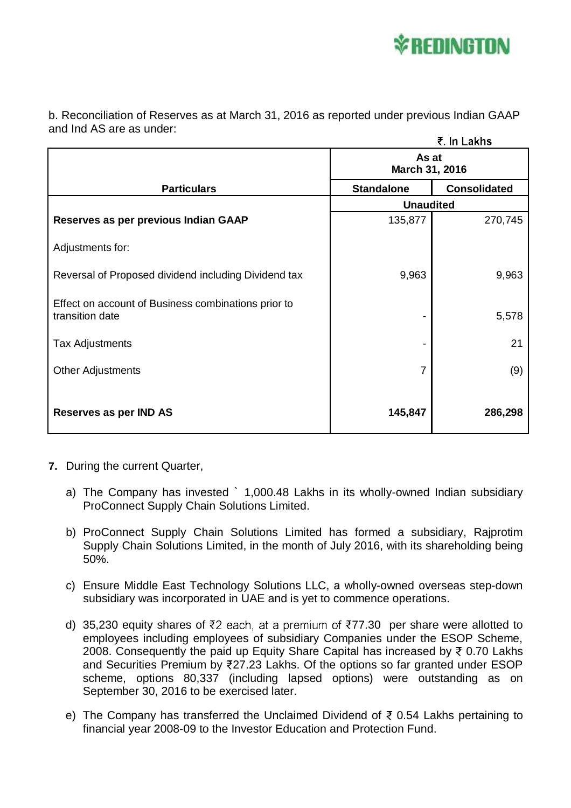

b. Reconciliation of Reserves as at March 31, 2016 as reported under previous Indian GAAP and Ind AS are as under:

|                                                                        |                         | ₹. In Lakhs         |  |
|------------------------------------------------------------------------|-------------------------|---------------------|--|
|                                                                        | As at<br>March 31, 2016 |                     |  |
| <b>Particulars</b>                                                     | <b>Standalone</b>       | <b>Consolidated</b> |  |
|                                                                        | <b>Unaudited</b>        |                     |  |
| Reserves as per previous Indian GAAP                                   | 135,877                 | 270,745             |  |
| Adjustments for:                                                       |                         |                     |  |
| Reversal of Proposed dividend including Dividend tax                   | 9,963                   | 9,963               |  |
| Effect on account of Business combinations prior to<br>transition date |                         | 5,578               |  |
| <b>Tax Adjustments</b>                                                 |                         | 21                  |  |
| <b>Other Adjustments</b>                                               | 7                       | (9)                 |  |
| Reserves as per IND AS                                                 | 145,847                 | 286,298             |  |

- **7.** During the current Quarter,
	- a) The Company has invested ` 1,000.48 Lakhs in its wholly-owned Indian subsidiary ProConnect Supply Chain Solutions Limited.
	- b) ProConnect Supply Chain Solutions Limited has formed a subsidiary, Rajprotim Supply Chain Solutions Limited, in the month of July 2016, with its shareholding being 50%.
	- c) Ensure Middle East Technology Solutions LLC, a wholly-owned overseas step-down subsidiary was incorporated in UAE and is yet to commence operations.
	- d) 35,230 equity shares of ₹2 each, at a premium of ₹77.30 per share were allotted to employees including employees of subsidiary Companies under the ESOP Scheme, 2008. Consequently the paid up Equity Share Capital has increased by ₹ 0.70 Lakhs and Securities Premium by 27.23 Lakhs. Of the options so far granted under ESOP scheme, options 80,337 (including lapsed options) were outstanding as on September 30, 2016 to be exercised later.
	- e) The Company has transferred the Unclaimed Dividend of  $\bar{\tau}$  0.54 Lakhs pertaining to financial year 2008-09 to the Investor Education and Protection Fund.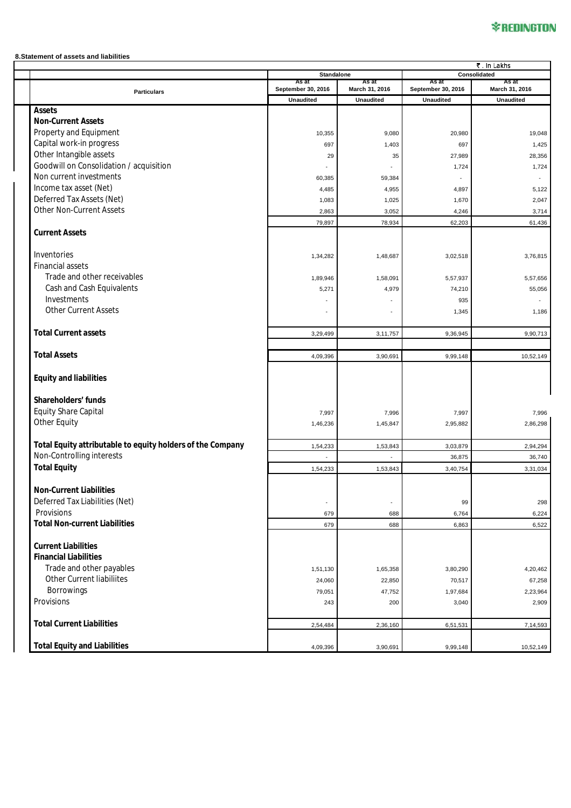# **\*REDINGTON**

#### **8.Statement of assets and liabilities**

|                                                            | そ. In Lakhs                |                  |                             |                  |  |
|------------------------------------------------------------|----------------------------|------------------|-----------------------------|------------------|--|
|                                                            | <b>Standalone</b><br>As at | As at            | Consolidated<br>As at       |                  |  |
| <b>Particulars</b>                                         | September 30, 2016         | March 31, 2016   | As at<br>September 30, 2016 | March 31, 2016   |  |
|                                                            | <b>Unaudited</b>           | <b>Unaudited</b> | <b>Unaudited</b>            | <b>Unaudited</b> |  |
| <b>Assets</b>                                              |                            |                  |                             |                  |  |
| <b>Non-Current Assets</b>                                  |                            |                  |                             |                  |  |
| Property and Equipment                                     | 10,355                     | 9,080            | 20,980                      | 19,048           |  |
| Capital work-in progress                                   | 697                        | 1,403            | 697                         | 1,425            |  |
| Other Intangible assets                                    | 29                         | 35               | 27,989                      | 28,356           |  |
| Goodwill on Consolidation / acquisition                    |                            |                  | 1,724                       | 1,724            |  |
| Non current investments                                    | 60,385                     | 59,384           |                             |                  |  |
| Income tax asset (Net)                                     | 4,485                      |                  | 4,897                       | 5,122            |  |
| Deferred Tax Assets (Net)                                  |                            | 4,955            |                             |                  |  |
| Other Non-Current Assets                                   | 1,083                      | 1,025            | 1,670                       | 2,047            |  |
|                                                            | 2,863                      | 3,052            | 4,246                       | 3,714            |  |
| <b>Current Assets</b>                                      | 79,897                     | 78,934           | 62,203                      | 61,436           |  |
|                                                            |                            |                  |                             |                  |  |
|                                                            |                            |                  |                             |                  |  |
| Inventories                                                | 1,34,282                   | 1,48,687         | 3,02,518                    | 3,76,815         |  |
| Financial assets                                           |                            |                  |                             |                  |  |
| Trade and other receivables                                | 1,89,946                   | 1,58,091         | 5,57,937                    | 5,57,656         |  |
| Cash and Cash Equivalents                                  | 5,271                      | 4,979            | 74,210                      | 55,056           |  |
| Investments                                                |                            |                  | 935                         |                  |  |
| <b>Other Current Assets</b>                                | $\overline{\phantom{a}}$   |                  | 1,345                       | 1,186            |  |
|                                                            |                            |                  |                             |                  |  |
| <b>Total Current assets</b>                                | 3,29,499                   | 3,11,757         | 9,36,945                    | 9,90,713         |  |
|                                                            |                            |                  |                             |                  |  |
| <b>Total Assets</b>                                        | 4,09,396                   | 3,90,691         | 9,99,148                    | 10,52,149        |  |
|                                                            |                            |                  |                             |                  |  |
| <b>Equity and liabilities</b>                              |                            |                  |                             |                  |  |
|                                                            |                            |                  |                             |                  |  |
| Shareholders' funds                                        |                            |                  |                             |                  |  |
| <b>Equity Share Capital</b>                                | 7,997                      | 7,996            | 7,997                       | 7,996            |  |
| Other Equity                                               | 1,46,236                   | 1,45,847         | 2,95,882                    | 2,86,298         |  |
|                                                            |                            |                  |                             |                  |  |
| Total Equity attributable to equity holders of the Company | 1,54,233                   | 1,53,843         | 3,03,879                    | 2,94,294         |  |
| Non-Controlling interests                                  |                            |                  | 36,875                      | 36,740           |  |
| <b>Total Equity</b>                                        | 1,54,233                   | 1,53,843         | 3,40,754                    | 3,31,034         |  |
|                                                            |                            |                  |                             |                  |  |
| <b>Non-Current Liabilities</b>                             |                            |                  |                             |                  |  |
| Deferred Tax Liabilities (Net)                             |                            |                  |                             |                  |  |
| Provisions                                                 | $\overline{\phantom{a}}$   | ÷,               | 99                          | 298              |  |
| <b>Total Non-current Liabilities</b>                       | 679                        | 688              | 6,764                       | 6,224            |  |
|                                                            | 679                        | 688              | 6,863                       | 6,522            |  |
| <b>Current Liabilities</b>                                 |                            |                  |                             |                  |  |
|                                                            |                            |                  |                             |                  |  |
| <b>Financial Liabilities</b>                               |                            |                  |                             |                  |  |
| Trade and other payables                                   | 1,51,130                   | 1,65,358         | 3,80,290                    | 4,20,462         |  |
| Other Current liabiliites                                  | 24,060                     | 22,850           | 70,517                      | 67,258           |  |
| Borrowings                                                 | 79,051                     | 47,752           | 1,97,684                    | 2,23,964         |  |
| Provisions                                                 | 243                        | 200              | 3,040                       | 2,909            |  |
|                                                            |                            |                  |                             |                  |  |
| <b>Total Current Liabilities</b>                           | 2,54,484                   | 2,36,160         | 6,51,531                    | 7,14,593         |  |
|                                                            |                            |                  |                             |                  |  |
| <b>Total Equity and Liabilities</b>                        | 4,09,396                   | 3,90,691         | 9,99,148                    | 10,52,149        |  |